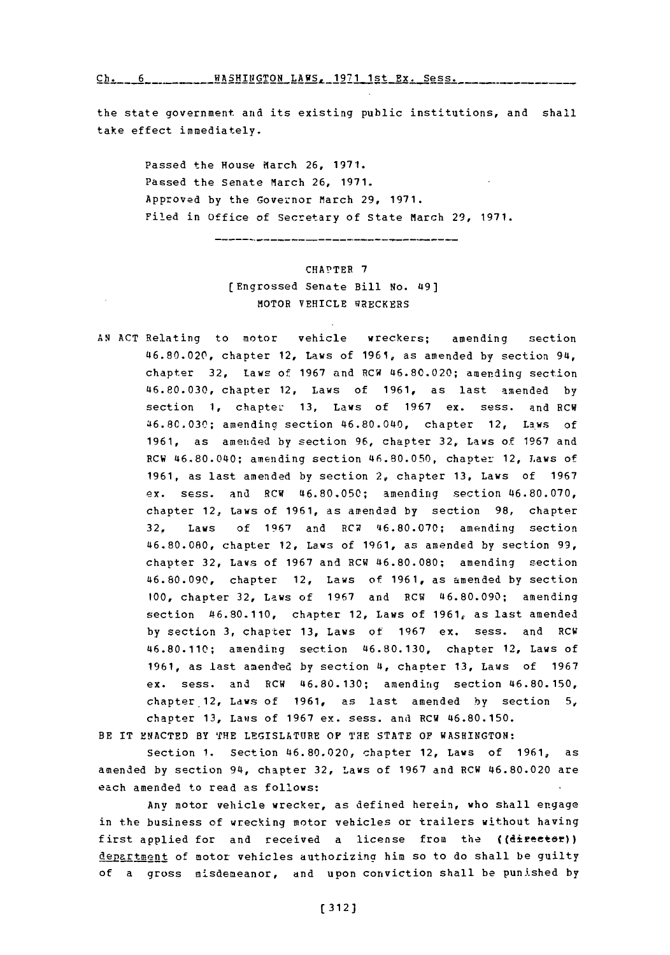$Ch. 6$  **MASHINGTON LAWS, 1971 1st Ex. Sess.** 

the state government and its existing public institutions, and shall take effect immediately.

Passed the House March 26, 1971. Passed the Senate March 26, 1971. Approved **by** the Governor March **29, 1971.** Filed in Office of Secretary of State March 29, 1971.

---------------

## CHAPTER **7** (Engrossed Senate Bill No. 49] MOTOR VEHICLE WRECKERS

**AN ACT** Relating to motor vehicle wreckers; amending section 46.80.020, chapter 12, laws of **1961,** as amended **by** section 94, chapter **32,** Laws of **1967** and RCW 46.80.020; amending section **46.80.030,** chapter 12, Laws of **1961,** as last amended **by** section **1,** chapter **13,** Laws of **1967** ex. sess. and RCW **46.8C.030;** amending section 46.80.040, chapter 12, Laws of **1961,** as amended **by** section **96,** chapter **32,** Laws of **1967** and RCW 46.80.040; amending section 46.80.050, chapter 12, Laws of **1961,** as last amended **by** section 2, chapter **13,** Laws of **1967** ex. sess. and RCW **46.80.050;** amending section 46.80.070, chapter 12, Laws of **1961,** as amended **by** section **98,** chapter **32,** Laws of **1967** and 8CR **46.80.070;** amending section 46.80.080, chapter 12, Laws of **1961,** as amended **by** section **99,** chapter **32,** Laws of **1967** and RCW **46.80.080;** amending section **46.80.090,** chapter 12, Laws of **1961,** as amended **by** section **100,** chapter **32,** Laws of **1967** and RCW 46.80.090; amending section 46.80.110, chapter 12, Laws of **1961,** as last amended by section 3, chapter 13, Laws of 1967 ex. sess. and RCW 46.80.110; amending section 46.80.130, chapter 12, Laws of **1961,** as last amenaed **by** section **4,** chapter **13,** Laws of **1967** ex. sess. and RCW **46.80.130;** amending section 46.80.150, chapter.12, Laws of **1961,** as last amended **by** section **5,** chapter **13,** Laws of **1967** ex. sess. and RCW **46.80.150.**

BE IT ENACTED BY THE LEGISLATURE OF THE STATE OF WASHINGTON:

Section **1.** Section 46.80.020, chapter 12, Laws of **1961,** as amended **by** section 94, chapter **32,** Laws of **1967** and RCW 46.80.020 are each amended to read as follows:

Any motor vehicle wrecker, as defined herein, who shall engage in the business of wrecking motor vehicles or trailers without having first applied for and received a license from the ((director)) department of motor vehicles authorizing him so to do shall be guilty of a gross misdemeanor, and upon conviction shall be punished **by**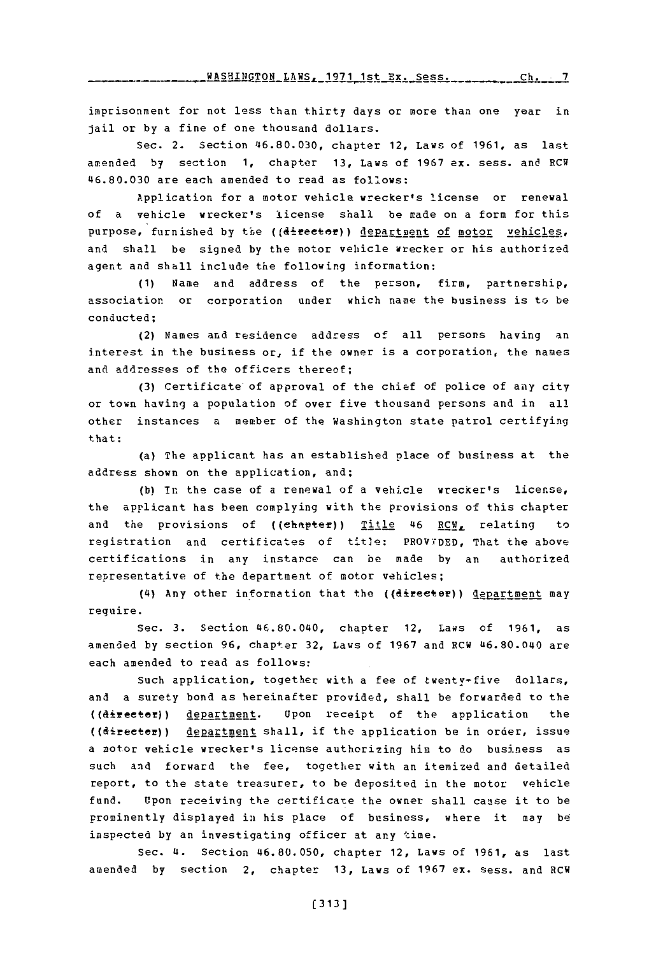imprisonment for not less than thirty days or more than one year in jail or **by** a fine of one thousand dollars.

Sec. 2. Section 46.80.030, chapter 12, Laws of **1961,** as last amended **by** section 1, chapter **13,** Laws of **1967** ex. sess. and RCW **46.80.030** are each amended to read as follows:

Application for a motor vehicle wrecker's license or renewal of a vehicle wrecker's license shall be made on a form for this purpose, furnished by the ((director)) department of motor vehicles, and shall be signed **by** the motor vehicle wrecker or his authorized agent and shall include the following information:

**(1)** Name and address of the person, firm, partnership, association or corporation under which name the business is to be conducted;

(2) Names and residence address of all persons having an interest in the business or, if the owner is a corporation, the names and addresses of the officers thereof;

(3) Certificate of approval of the chief of police of any city or town having a population of over five thousand persons and in all other instances a member of the Washington state patrol certifying that:

(a) The applicant has an established place of business at the address shown on the application, and;

**(b)** in the case of a renewal of a vehicle wrecker's license, the applicant has been complying with the provisions of this chapter and the provisions of ((chapter)) Title 46 RCV, relating to registration and certificates of title: **PROVTDED,** That the above certifications in any instarce can be made **by** an authorized representative of the department of motor vehicles;

(4) Any other information that the ((director)) department may reguire.

Sec. **3.** Section '46.80.040, chapter 12, Laws of **1961,** as amended **by** section **96,** chapter **32,** Laws of **1967** and RCW L6.80.040 are each amended to read as follows:

such application, together with a fee of twenty-five dollars, and a surety bond as hereinafter provided, shall be forwarded to the ((directer)) department. Upon receipt of the application the ((directer)) department shall, if the application be in order, issue a motor vehicle wrecker's license authorizing him to do business as such and forward the fee, together with an itemized and detailed report, to the state treasurer, to be deposited in the motor vehicle fund. Upon receiving the certificate the owner shall cause it to be prominently displayed in his place of business, where it may **be** inspected **by** an investigating officer at any time.

Sec. 4. Section 46.80.050, chapter 12, Laws of **1961,** as last amended **by** section 2, chapter **13,** Laws of **1967** ex. sess. and RCW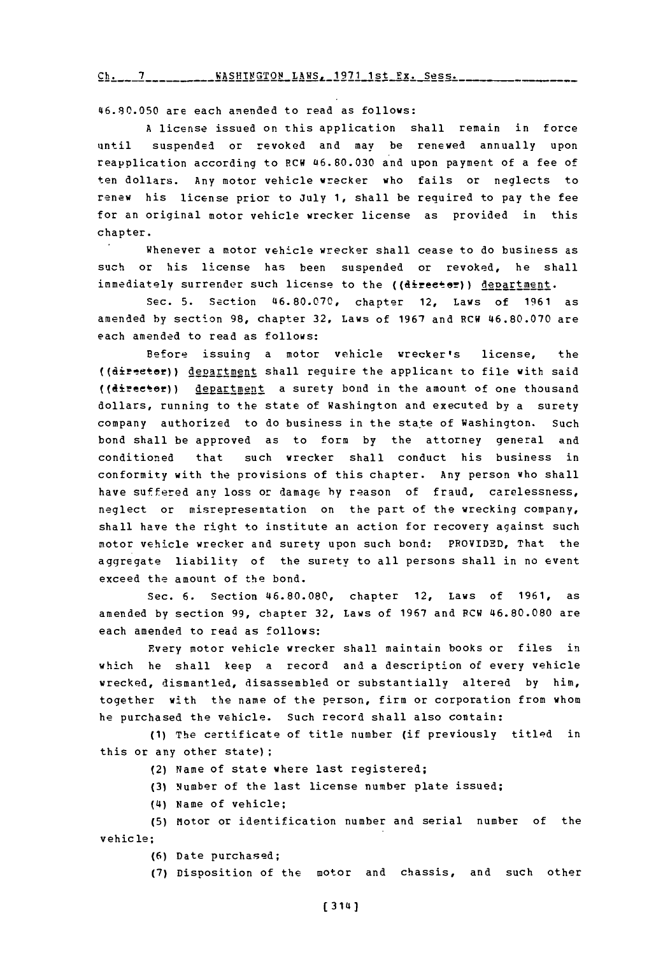Ch. 7 WASHINGTON LAWS, 1971 1st Fx. Sess.

46.80.050 are each amended to read as follows:

**A** license issued on this application shall remain in force until suspended or revoked and may be renewed annually upon reapplication according to RCW 46.80.030 and upon payment of a fee of ten dollars. Any motor vehicle wrecker who fails or neglects to renew his license prior to July **1,** shall be required to pay the fee for an original motor vehicle wrecker license as provided in this chapter.

Whenever a motor vehicle wrecker shall cease to do business as such or his license has been suspended or revoked, he shall immediately surrender such license to the ((directer)) department.

sec. **5.** Section **46.80.070,** chapter 12, Laws of **1961** as amended **by** section **98,** chapter **32,** Laws of **1967** and RCW **46.80.070** are each amended to read as follows:

Before issuing a motor vehicle wrecker's license, the ((director)) department shall require the applicant to file with said ((director)) departnent a surety bond in the amount of one thousand dollars, running to the state of Washington and executed **by** a surety company authorized to do business in the state of Washington. Such bond shall be approved as to form **by** the attorney general and conditioned that such wrecker shall conduct his business in conformity with the provisions of this chapter. Any person who shall have suffered any loss or damage **by** reason of fraud, carelessness, neglect or misrepresentation on the part of the wrecking company, shall have the right to institute an action for recovery against such motor vehicle wrecker and surety upon such bond: PROVIDED, That the aggregate liability of the surety to all persons shall in no event exceed the amount of the bond.

Sec. **6.** Section **46.80.080,** chapter 12, Laws of **1961,** as amended **by** section **99,** chapter **32,** Laws of **1967** and PCW 46.80.080 are each amended to read as follows:

Every motor vehicle wrecker shall maintain books or files in which he shall keep a record and a description of every vehicle wrecked, dismantled, disassembled or substantially altered **by** him, together with the name of the person, firm or corporation from whom he purchased the vehicle. Such record shall also contain:

**(1)** The certificate of title number (if previously titled in this or any other state);

- (2) Name of state where last registered;
- **(3)** Number of the last license number plate issued;
- **(4I)** Name of vehicle;

**(5)** Miotor or identification number and serial number of the vehicle;

**(6)** Date purchased;

**(7)** Disposition of the motor and chassis, and such other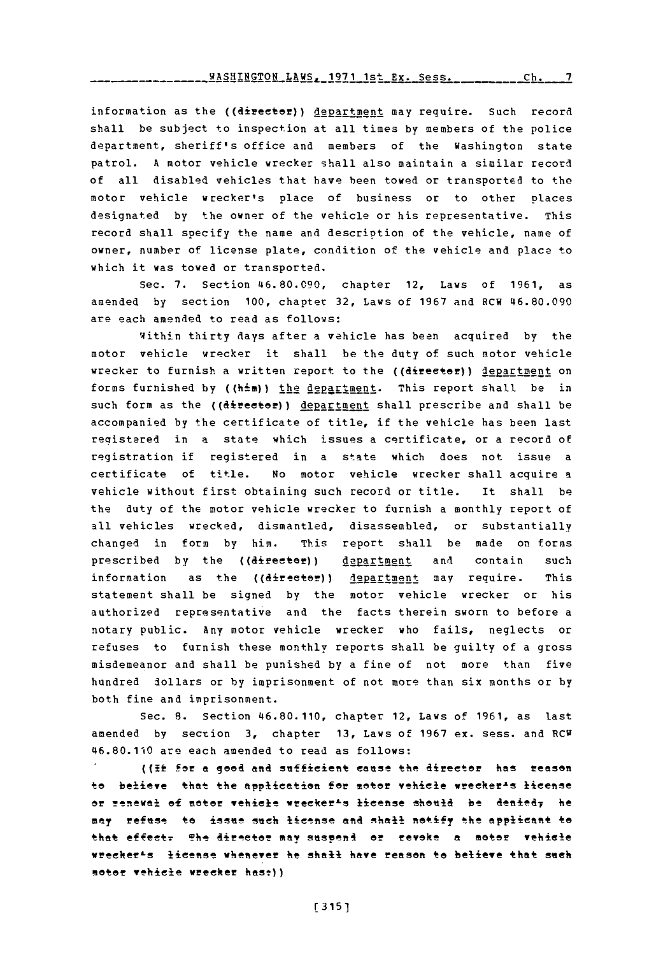information as the ((director)) department may require. Such record shall be subject to inspection at all times **by** members of the police department, sheriff's office and members of the Washington state patrol. **A** motor vehicle wrecker shall also maintain a similar record of all disabled vehicles that have been towed or transported to the motor vehicle wrecker's place of business or to other places designated **by** the owner of the vehicle or his representative. This record shall specify the name and description of the vehicle, name of owner, number of license plate, condition of the vehicle and place to which it was towed or transported.

Sec. **7.** Section **46.80.090,** chapter 12, Laws of **1961,** as amended **by** section **100,** chapter **32,** Laws of **1967** and RCW **46.80.090** are each amended to read as follows:

Within thirty days after a vehicle has been acquired **by** the motor vehicle wrecker it shall be the duty of such motor vehicle wrecker to furnish a written report to the ((director)) department on forms furnished by ((him)) the department. This report shall be in such form as the ((director)) department shall prescribe and shall be accompanied **by** the certificate of title, if the vehicle has been last reqistered in a state which issues a certificate, or a record of registration if registered in a state which does not issue a certificate of title. No motor vehicle wrecker shall acquire a vehicle without first obtaining such record or title. It shall be the duty of the motor vehicle wrecker to furnish a monthly report of all vehicles wrecked, dismantled, disassembled, or substantially changed in form **by** him. This report shall be made on forms prescribed by the ((director)) department and contain such information as the ((director)) department may require. This statement shall be signed **by** the motor vehicle wrecker or his authorized representative and the facts therein sworn to before a notary public. Any motor vehicle wrecker who fails, neglects or refuses to furnish these monthly reports shall be guilty of a gross misdemeanor and shall be punished **by** a fine of not more than five hundred dollars or **by** imprisonment of not more than six months or **by** both fine and imprisonment.

Sec. **8.** Section 46.80.110, chapter 12, Laws of **1961,** as last amended by section **3,** chapter **13,** Laws of **1967** ex. sess. and RCW 46.80.110 are each amended to read as follows:

((If for a good and sufficient cause the director has reason to believe that the application for motor vehicle wrecker<sup>1</sup>s license or renewal of motor vehicle wrecker<sup>1</sup>s license should be denied<sub>7</sub> he may refuse to issue such license and shall notify the applicant to that effect. The director may suspend or revoke a motor vehicle **wrteer'-s license whenever** lie shall have reason to believe that such moter vehicle wrecker hast))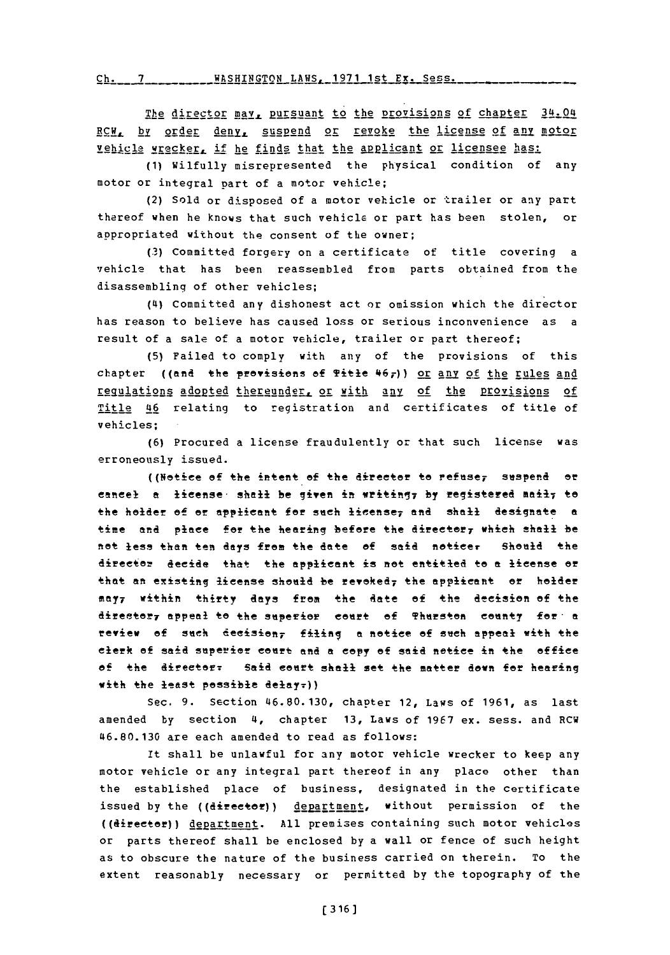*rh-* **<sup>7</sup>** WASHTMgTON LAWS- **1971** 1st Fr. Sess.

The director may, pursuant to the provisions of chapter 34.04 BCH, by order deny, suspend or revoke the license of any motor vehicle wrecker, if he finds that the applicant or licensee has:

**(1)** Wilfully misrepresented the physical condition of any motor or integral part of a motor vehicle;

(2) Sold or disposed of a motor vehicle or trailer or any part thereof when he knows that such vehicla or part has been stolen, or appropriated without the consent of the owner;

**(3)** Committed forgery on a certificate of title covering a vehicle that has been reassembled from parts obtained from the disassemblinq of other vehicles;

**(4)** Committed any dishonest act or omission which the director has reason to believe has caused loss or serious inconvenience as a result of a sale **of** a motor vehicle, trailer or part thereof;

**(5)** Failed to comply with any of the provisions of this chapter ((and the provisions of Title  $467$ )) or any of the rules and requiations adopted thereunder, or with any of the provisions of Title 46 relating to registration and certificates of title of vehicles;

**(6)** Procured a license fraudulently or that such license was erroneously issued.

((Netice **of** the intent **of** the director **to** refusey suspend or cancel a license shall be given in writing, by registered mail, to the holder of or applicant for such license<sub>7</sub> and shall designate a time and place for the hearing before the direetory whieh shall be not less than ten days from the date of said noticer Should the Aiee decide that the applicant is net entitled te a icense or that an existing license should be revoked, the applicant or holder **Mfty <sup>7</sup>**Within thirt~y **days** from the gate **of** the decision of +he director<sub>7</sub> appeal to the superior court of Thurston county for a review **of sneh** deeisean7 filing **a** notice of such appeal with the clerk **of** said superier eourt **and** a eopy **of** said notice in the offie of the director: Said court shall set the matter down for hearing with the least possible delay.))

Sec. **9.** Section **46.80.130,** chapter 12, Laws **of 1961,** as last amended **by** section **4,** chapter **13,** Laws of **1967** ex. sess. and RCW **46.80.130** are each amended to read as follows:

It shall be unlawful for any motor vehicle wrecker to keep any motor vehicle or any integral part thereof in any place other than the established place of business, designated in the certificate issued by the ((director)) department, without permission of the ((director)) dgpartment. **All** premises containing such motor vehicles or parts thereof shall be enclosed **by** a wall or fence of such height as to obscure the nature of the business carried on therein. To the extent reasonably necessary or permitted **by** the topography of the